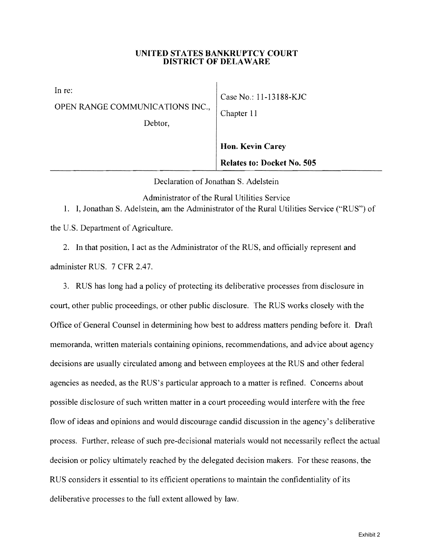## UNITED STATES BANKRUPTCY COURT DISTRICT OF DELAWARE

In re: OPEN RANGE COMMUNICATIONS INC., Chapter 11

Debtor,

Case No.: 11-13188-KJC

Hon. Kevin Carey Relates to: Docket No. 505

Declaration of Jonathan S. Adelstein

Administrator of the Rural Utilities Service

1. I, Jonathan S. Adelstein, am the Administrator of the Rural Utilities Service ("RUS") of

the U.S. Department of Agriculture.

2. In that position, I act as the Administrator of the RUS, and officially represent and administer RUS. 7 CFR 2.47.

3. RUS has long had a policy of protecting its deliberative processes from disclosure in court, other public proceedings, or other public disclosure. The RUS works closely with the Office of General Counsel in determining how best to address matters pending before it. Draft memoranda, written materials containing opinions, recommendations, and advice about agency decisions are usually circulated among and between employees at the RUS and other federal agencies as needed, as the RUS's particular approach to a matter is refined. Concerns about possible disclosure of such written matter in a court proceeding would interfere with the free flow of ideas and opinions and would discourage candid discussion in the agency's deliberative process. Further, release of such pre-decisional materials would not necessarily reflect the actual decision or policy ultimately reached by the delegated decision makers. For these reasons, the RUS considers it essential to its efficient operations to maintain the confidentiality of its deliberative processes to the full extent allowed by law.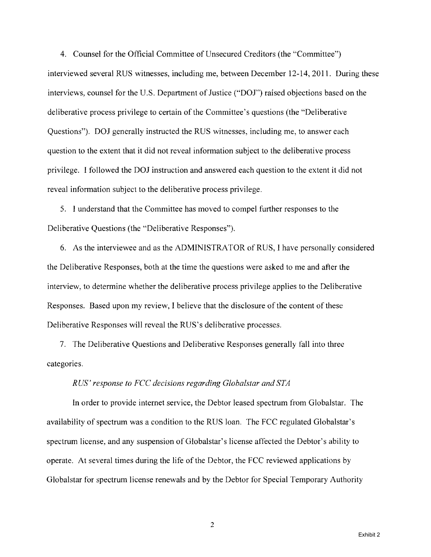4. Counsel for the Official Committee of Unsecured Creditors (the "Committee") interviewed several RUS witnesses, including me, between December 12-14, 2011. During these interviews, counsel for the U.S. Department of Justice *("DOJ")* raised objections based on the deliberative process privilege to certain of the Committee's questions (the "Deliberative Questions"). *DOl* generally instructed the RUS witnesses, including me, to answer each question to the extent that it did not reveal information subject to the deliberative process privilege. I followed the *DOl* instruction and answered each question to the extent it did not reveal information subject to the deliberative process privilege.

5. I understand that the Committee has moved to compel further responses to the Deliberative Questions (the "Deliberative Responses").

6. As the interviewee and as the ADMINISTRATOR of RUS, I have personally considered the Deliberative Responses, both at the time the questions were asked to me and after the interview, to determine whether the deliberative process privilege applies to the Deliberative Responses. Based upon my review, I believe that the disclosure of the content of these Deliberative Responses will reveal the RUS's deliberative processes.

7. The Deliberative Questions and Deliberative Responses generally fall into three categories.

## *RUS' response to FCC decisions regarding Globalstar and STA*

In order to provide internet service, the Debtor leased spectrum from Globalstar. The availability of spectrum was a condition to the RUS loan. The FCC regulated Globalstar's spectrum license, and any suspension of Globalstar's license affected the Debtor's ability to operate. At several times during the life of the Debtor, the FCC reviewed applications by Globalstar for spectrum license renewals and by the Debtor for Special Temporary Authority

2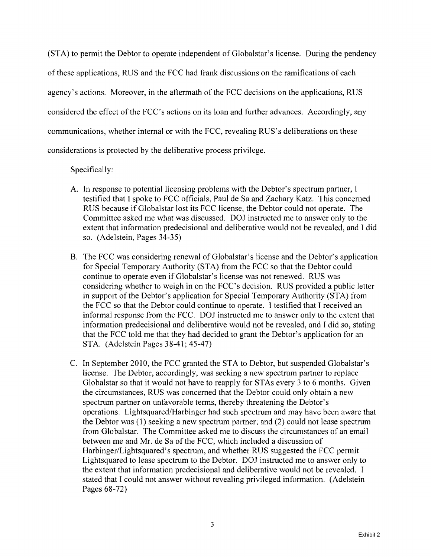(STA) to permit the Debtor to operate independent of Globalstar's license. During the pendency of these applications, RUS and the FCC had frank discussions on the ramifications of each agency's actions. Moreover, in the aftermath of the FCC decisions on the applications, RUS considered the effect of the FCC's actions on its loan and further advances. Accordingly, any communications, whether internal or with the FCC, revealing RUS's deliberations on these considerations is protected by the deliberative process privilege.

Specifically:

- A. In response to potential licensing problems with the Debtor's spectrum partner, I testified that I spoke to FCC officials, Paul de Sa and Zachary Katz. This concerned RUS because if Globalstar lost its FCC license, the Debtor could not operate. The Committee asked me what was discussed. DOl instructed me to answer only to the extent that information predecisional and deliberative would not be revealed, and I did so. (Adelstein, Pages 34-35)
- B. The FCC was considering renewal of Globalstar's license and the Debtor's application for Special Temporary Authority (STA) from the FCC so that the Debtor could continue to operate even if Globalstar's license was not renewed. RUS was considering whether to weigh in on the FCC's decision. RUS provided a public letter in support of the Debtor's application for Special Temporary Authority (STA) from the FCC so that the Debtor could continue to operate. I testified that I received an informal response from the FCC. DOl instructed me to answer only 10 the extent that information predecisional and deliberative would not be revealed, and I did so, stating that the FCC told me that they had decided to grant the Debtor's application for an STA. (Adelstein Pages 38-41; 45-47)
- C. In September 2010, the FCC granted the STA to Debtor, but suspended Globalstar's license. The Debtor, accordingly, was seeking a new spectrum partner to replace Globalstar so that it would not have to reapply for ST As every 3 to 6 months. Given the circumstances, RUS was concerned that the Debtor could only obtain a new spectrum partner on unfavorable terms, thereby threatening the Debtor's operations. Lightsquared/Harbinger had such spectrum and may have been aware that the Debtor was (1) seeking a new spectrum partner; and (2) could not lease spectrum from Globalstar. The Committee asked me to discuss the circumstances of an email between me and Mr. de Sa of the FCC, which included a discussion of Harbinger/Lightsquared's spectrum, and whether RUS suggested the FCC permit Lightsquared to lease spectrum to the Debtor. DOl instructed me to answer only to the extent that information predecisional and deliberative would not be revealed. I stated that I could not answer without revealing privileged information. (Adelstein Pages 68-72)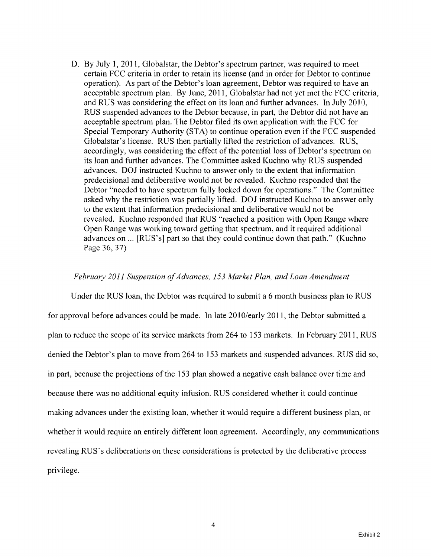D. By July 1, 2011, Globalstar, the Debtor's spectrum partner, was required to meet certain FCC criteria in order to retain its license (and in order for Debtor to continue operation). As part of the Debtor's loan agreement, Debtor was required to have an acceptable spectrum plan. By June, 2011, Globalstar had not yet met the FCC criteria, and RUS was considering the effect on its loan and further advances. In July 2010, RUS suspended advances to the Debtor because, in part, the Debtor did not have an acceptable spectrum plan. The Debtor filed its own application with the FCC for Special Temporary Authority (STA) to continue operation even if the FCC suspended Globalstar's license. RUS then partially lifted the restriction of advances. RUS, accordingly, was considering the effect of the potential loss of Debtor's spectrum on its loan and further advances. The Committee asked Kuchno why RUS suspended advances. DOJ instructed Kuchno to answer only to the extent that information predecisional and deliberative would not be revealed. Kuchno responded that the Debtor "needed to have spectrum fully locked down for operations." The Committee asked why the restriction was partially lifted. DOJ instructed Kuchno to answer only to the extent that information predecisional and deliberative would not be revealed. Kuchno responded that RUS "reached a position with Open Range where Open Range was working toward getting that spectrum, and it required additional advances on ... [RUS's] part so that they could continue down that path." (Kuchno Page 36, 37)

## *February 2011 Suspension ofAdvances,* 153 *Market Plan, and Loan Amendment*

Under the RUS loan, the Debtor was required to submit a 6 month business plan to RUS for approval before advances could be made. In late 2010/early 2011, the Debtor submitted a plan to reduce the scope of its service markets from 264 to 153 markets. In February 2011, RUS denied the Debtor's plan to move from 264 to 153 markets and suspended advances. RUS did so, in part, because the projections of the 153 plan showed a negative cash balance over time and because there was no additional equity infusion. RUS considered whether it could continue making advances under the existing loan, whether it would require a different business plan, or whether it would require an entirely different loan agreement. Accordingly, any communications revealing RUS's deliberations on these considerations is protected by the deliberative process privilege.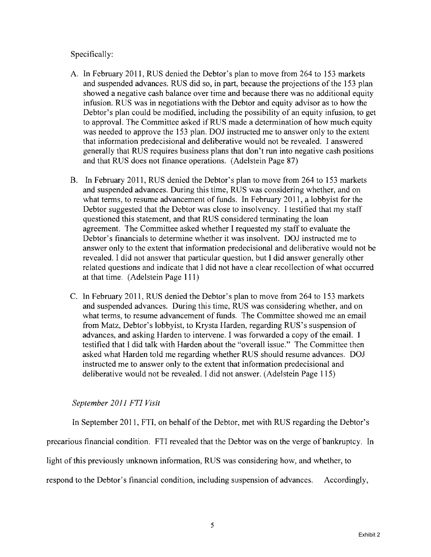Specifically:

- A. In February 2011, RUS denied the Debtor's plan to move from 264 to 153 markets and suspended advances. RUS did so, in part, because the projections of the 153 plan showed a negative cash balance over time and because there was no additional equity infusion. RUS was in negotiations with the Debtor and equity advisor as to how the Debtor's plan could be modified, including the possibility of an equity infusion, to get to approval. The Committee asked if RUS made a determination of how much equity was needed to approve the 153 plan. DOJ instructed me to answer only to the extent that information predecisional and deliberative would not be revealed. I answered generally that RUS requires business plans that don't run into negative cash positions and that RUS does not finance operations. (Adelstein Page 87)
- B. In February 2011, RUS denied the Debtor's plan to move from 264 to 153 markets and suspended advances. During this time, RUS was considering whether, and on what terms, to resume advancement of funds. In February 2011, a lobbyist for the Debtor suggested that the Debtor was close to insolvency. I testified that my staff questioned this statement, and that RUS considered terminating the loan agreement. The Committee asked whether I requested my staff to evaluate the Debtor's financials to determine whether it was insolvent. DOJ instructed me to answer only to the extent that information predecisional and deliberative would not be revealed. I did not answer that particular question, but I did answer generally other related questions and indicate that I did not have a clear recollection of what occurred at that time. (Adelstein Page 111)
- C. In February 2011, RUS denied the Debtor's plan to move from 264 to 153 markets and suspended advances. During this time, RUS was considering whether, and on what terms, to resume advancement of funds. The Committee showed me an email from Matz, Debtor's lobbyist, to Krysta Harden, regarding RUS's suspension of advances, and asking Harden to intervene. I was forwarded a copy of the email. I testified that I did talk with Harden about the "overall issue." The Committee then asked what Harden told me regarding whether RUS should resume advances. 001 instructed me to answer only to the extent that information predecisional and deliberative would not be revealed. I did not answer. (Adelstein Page 115)

## *September 2011 FTI Visit*

In September 2011, FTI, on behalf of the Debtor, met with RUS regarding the Debtor's

precarious financial condition. FTI revealed that the Debtor was on the verge of bankruptcy. In

light of this previously unknown information, RUS was considering how, and whether, to

respond to the Debtor's financial condition, including suspension of advances. Accordingly,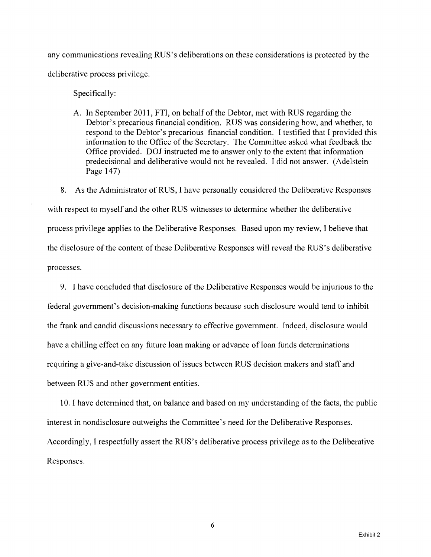any communications revealing RUS's deliberations on these considerations is protected by the deliberative process privilege.

Specifically:

A. In September 2011, FTI, on behalf of the Debtor, met with RUS regarding the Debtor's precarious financial condition. RUS was considering how, and whether, to respond to the Debtor's precarious financial condition. I testified that I provided this information to the Office of the Secretary. The Committee asked what feedback the Office provided. DOl instructed me to answer only to the extent that information predecisional and deliberative would not be revealed. I did not answer. (Adelstein Page 147)

8. As the Administrator of RUS, I have personally considered the Deliberative Responses with respect to myself and the other RUS witnesses to determine whether the deliberative process privilege applies to the Deliberative Responses. Based upon my review, I believe that the disclosure of the content of these Deliberative Responses will reveal the RUS's deliberative processes.

9. I have concluded that disclosure of the Deliberative Responses would be injurious to the federal government's decision-making functions because such disclosure would tend to inhibit the frank and candid discussions necessary to effective government. Indeed, disclosure would have a chilling effect on any future loan making or advance of loan funds determinations requiring a give-and-take discussion of issues between RUS decision makers and staff and between RUS and other government entities.

10. I have determined that, on balance and based on my understanding of the facts, the public interest in nondisclosure outweighs the Committee's need for the Deliberative Responses. Accordingly, I respectfully assert the RUS's deliberative process privilege as to the Deliberative Responses.

6